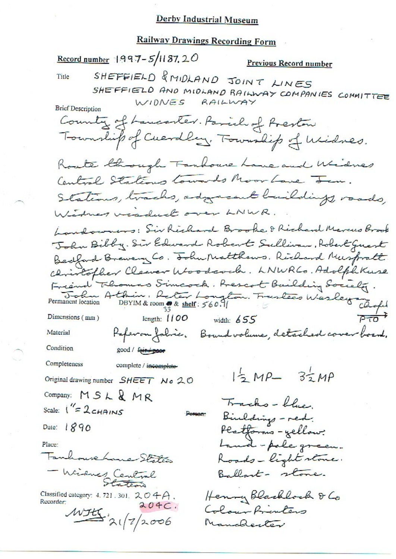# **Railway Drawings Recording Form**

Record number 1997-5/1187, 20 Previous Record number SHEFFIELD & MIDLAND JOINT LINES Title SHEFFIELD AND MIDLAND RAILWAY COMPANIES COMMITTEE WIDNES RAILWAY **Brief Description** Country of Lancaster. Parish of Preston Township of Cuerdlay, Township of Widnes. Roate though Fanhouse Lane and Widnes Central Statemes towards Moor Lave Jan. Stations, tracks, adoparant buildings, roads, Windower viadual over LNWR. Landowners: Sir Richard Brooke & Richard Marcus Brook John Bibby. Sir Edward Robert Sullivan, Robert Guest Bedford Brewery Co. Tobu Matthews. Richard Muspratt. Christopher Clearer Woodcom.<br>Frederick Flomas Simcock. Prescot Building Society.<br>Permanent location Athin. Reter Longton. Frentees Wesley Chope christopher Cleaver Woodcock. LNWRCo. Adolph Kuse length:  $1100$  width:  $655$ Paperon fabric. Bound volume, detached cover board. Material Condition good / feir poor Completeness complete / incomplete- $12 MP - 32 MP$ Original drawing number SHEET No 20 Company: MSL & MR Tracks-blue. Scale:  $1'' = 2c$ HAINS Person-Binldings - red. Date:  $1890$ Platforms-yellow. Land-pole green. Place: mhouse home States Roads-light stone. - Widnes Central Ballart- stone. Henry Blacklock & Co Classified category: 4, 721, 301,  $204A$ . Recorder:  $204C.$ Colour Prienters  $MHK.21/7/2006$ Manchester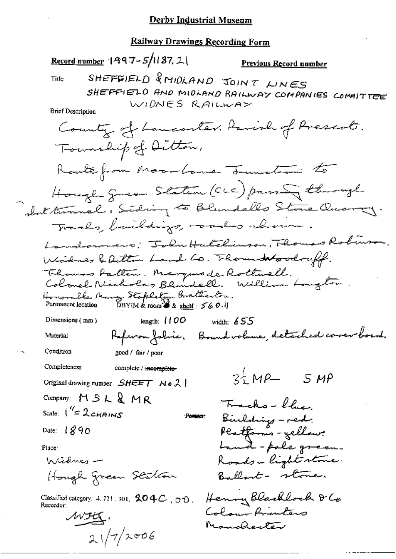#### **Railway Drawings Recording Form**

Record number  $1497 - 5/1187$ , 2 Previous Record number SHEFFIELD & MIDLAND JOINT LINES Title SHEFFIELD AND MIDLAND RAILWAY COMPANIES COMMITTEE WIDNES RAILWAY **Brief Description** County of Lanconter. Parish of Prescot. Township of Ditton, Route from Moor Lane Teamstern to Hough green Station (CLC) passing through shot tunnel. Siding to Blundello Stone Quarry. Tracks, baildings, could reven. Landowners: John Hatchinson, Thomas Robinson. Widnes & ailton Land Co. Thousand woodruff. Thomas Patten. Marques de Rothwell.<br>Colonel Nécholas Blundell. William Longton Honorable Mary Stepheton Bretherton. Permanent location DBYIM & room  $\partial x$  shelf:  $560.1$ length:  $1100$ Dimensions  $(mn)$ width:  $655$ Paperon folice. Bound volume, detached cover board. Material Condition good / fair / poor Completeness complete / incomplete- $34. MP - 5 MP$ Original drawing number  $SHEET$  No 2 Company:  $MSLR$  MR Trachs - blue, Scale:  $1''=2$  chains Bilding - red. Pomon: Platforms - yellow:<br>Land - pale green. Date:  $1890$ Place: Roads-lightestame. Widnes -Ballant- stone. Hough green Station Henry Blacklock & Co Classified category: 4, 721, 301,  $204C$ ,  $60$ . Recorder: Colour Printers MFEC. Manchenter  $21/7/2006$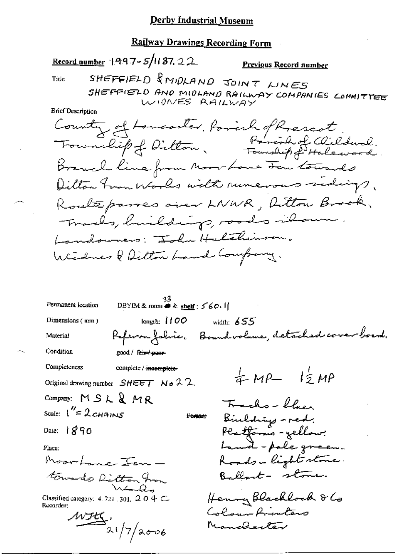# **Railway Drawings Recording Form**

Record number 1997-5/11 87, 22

Previous Record number

Title

SHEFFIELD & MIDLAND JOINT LINES SHEFFIELD AND MIDLAND RAILWAY COMPANIES COMMITTEE WIDNES RAILWAY

**Brief Description** 

County of Loncoster, Parish of Rescot,<br>Trounlif of Dilton, Parish of Clilderal. Branch line from Moor Love For towards Ditton from Works with runerous sedings, Roalteparres over LNWR, Aitton Brook, Trads, huildings, roads ilsur. Landowners: John Halchinson. Windows & Dilton Land Company.

 $\frac{33}{2}$ DBYIM & room **#** & shelf: 560. Permanent location length:  $1100$ Dimensions (mm) width:  $655$ Referan Johie. Boundvolume, detached cover boend. Material Condition good / Fare poor Completeness complete / incomplete- $\frac{1}{4}MP - \frac{1}{2}MP$ Original drawing number  $SHEET$  No 22 Company:  $MSLR$  MR Trachs - Clue Scale:  $1''=2$ CHAINS Biulding - red.<br>Platforms - gellow:<br>Land - pale green. Person: Date:  $890$ Place: Moorhand Irm -Roads-light stone. Ballant - stone. towards Ditton from Ward Henny Blacklock & Co Classified category: 4, 721, 301,  $204 \subset$ Recorder: Colour Printers  $\frac{w_{H_1}}{2(7/a_{006})}$ Manchenter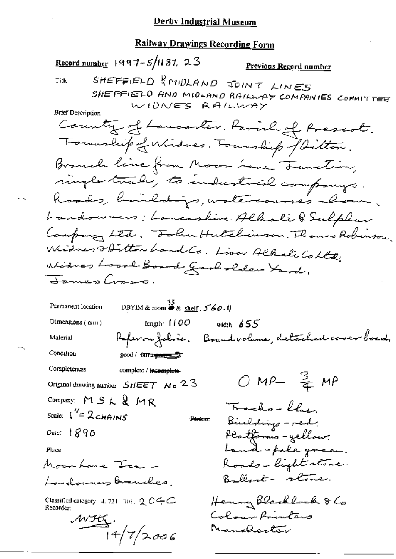**Railway Drawings Recording Form** Record number  $1997 - 5/1187$ , 23 <u>Previous Record number</u> SHEFFIELD & MIDLAND JOINT LINES Title SHEFFIELD AND MIDLAND RAILWAY COMPANIES COMMITTEE WIDNES RAILWAY **Brief Description** Country of Lancaster. Parish of Prescot. Township of Windnes, Foundiep of Ditton. Branch line from Moore Lane Termster, single track, to industrial companys. Roods, buildings, watercourses abour, Landowners; Lancasline Albali & Sulphur Company Ltd. Folm Hutchinson. Thomas Robinson. Windows & Ditton Land Co. Liver Albali Colla Widnes Local Board Garbolder Yard. James Cross. DBYIM & room  $\overset{33}{\bullet}$  & shelf : 5'60.1) Permanent location Dimensions (mm) length:  $100$ width  $655$ Referanfolisie. Boundvolume, detailed cover board. Material Condition good / farr<del>iquary 2</del> Completeness complete / incomplete- $OMP \frac{3}{4}MP$ Original drawing number  $SHEET$  No 23 Company: MSL&MR Trachs - Clue, Scale:  $V' = 2c$ HAINS **Person** Biuldings - red. Dale:  $1890$ <del>Platforms</del>-yellow? Land-pole green. Place: Roads-light stone. Moorhane Jea -Ballart- stone. Landowners Branches, Henny Blackbock & Co Classified category:  $4.721 - 301$ ,  $2.04C$ Recorder:  $WH$ .<br>14/7/2006 Colour Printers Nanderter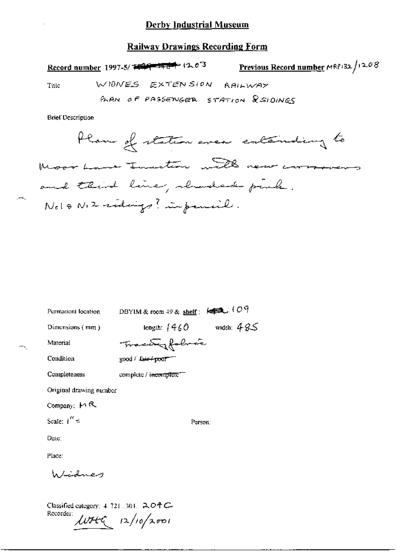#### **Railway Drawings Recording Form**

Previous Record number MRP132/1208 Record number 1997-5/ 2020 - 17 d<sup>-2</sup> 12 d<sup>-3</sup> WIDNES EXTENSION RAILWAY Title PLAN OF PASSENGER STATION RSIDINGS

**Brief Description** 

Plan of station area enternding to Moor Lame Turnsteam with new correspons and third line, wherebert park. Note No2 siderings? in parcial.

DBYIM & room  $49$  & shelf:  $\overline{\text{kg}}$  (O9 Permanent location length:  $1460$  width:  $485$ Dimensions (mm) Fractingfoliate Material Condition good / fair+poor Completeness complete / i<del>ncomplete</del> Original drawing number Company:  $M R$ Scale:  $1'' =$ Person: Date: Place: h/idney

Classified category: 4, 721, 301, 204C-Recorder:  $LUTE = 12/10/2001$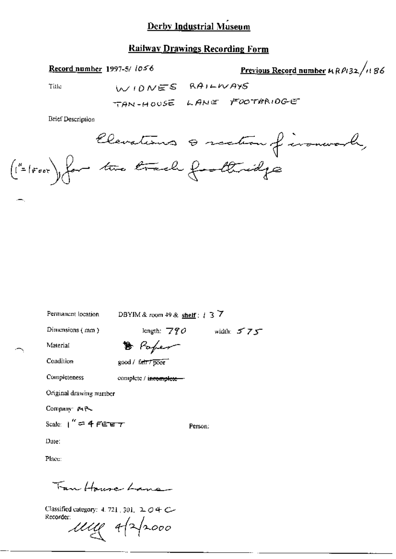# **Railway Drawings Recording Form**

Record number 1997-5/ 1056

Previous Record number 4 RP132/1186

Title

WIDNES RAILWAYS

TAN-HOUSE LANE FOOTBRIDGE

**Brief Description** 

Clevations & section of ironwork,<br>("= 1000), for two track footbridge

Permanent location

DBYIM & room 49 & shelf :  $\uparrow$  3  $\overline{7}$ 

length:  $\overline{770}$  width:  $575$ 

Person:

Dimensions (mm)

B Poper

Condition

Material

Completeness

good / fatt7poor complete / incomplete-

Original drawing number

Company MR

Scale:  $1'' = 4$  FEET

Date:

Place:

Fan Hause Lane

Classified category: 4, 721, 301, 2, 0 4 C-Recorder:

My 4/2/2000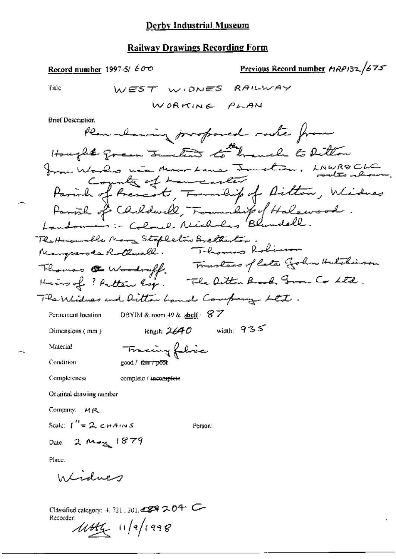## **Railway Drawings Recording Form**

Previous Record number MRP132/675 Record number 1997-5/ $600$ WEST WIDNES Title RAILWAY WORKING PLAN **Brief Description** Plan alsowing prospored rocke from Hought green Junetion to handle to bettom from Works wie Moor Lane Junction, LAWROCLC Parish of Present, Township of Ailton, Widnes Parish of Carldwell, Township of Halewood. The Homowolk Many Stapleton Bretherton.<br>Neargrande Rothwell. Thomas Rolinson<br>Thomas & Woodruff. Traslees of late John Hutchinson<br>Heins of ? Retter Esp. The Ditton Brook From Co Ltd. The Widnes and Ditton hand Company Ltt. DBYIM & room 49 & shelf  $87$ Permanent location length:  $2640$  width:  $935$ Dimensions (mm) Tracing fabric Material Condition good / fair / poor Completeness complete / incomplete Original drawing number Company:  $MR$ Scale:  $\int_{0}^{H} = 2 \cosh A \cos S$ Person:  $2$  May 1879 Date: Place. Infidues

Classified category: 4, 721, 301, 4899 2, 04 C Recorder:  $11444$  11/2/1998